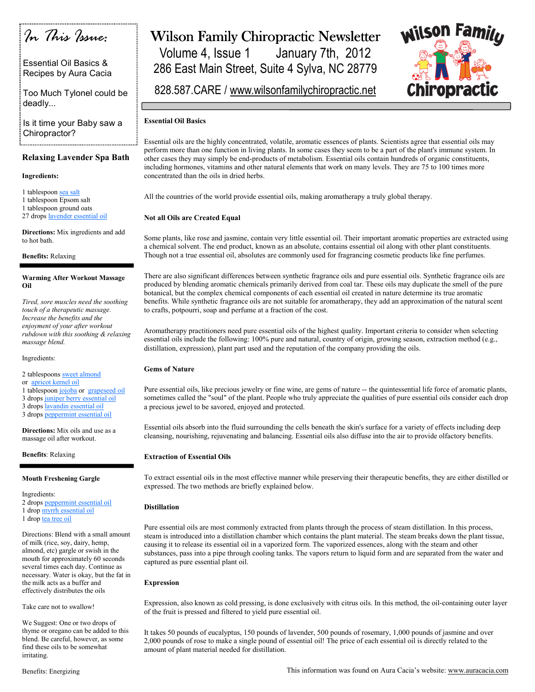

Essential Oil Basics & Recipes by Aura Cacia

Too Much Tylonel could be deadly...

Is it time your Baby saw a Chiropractor? 

## Relaxing Lavender Spa Bath

## Ingredients:

1 tablespoon sea salt

1 tablespoon Epsom salt

1 tablespoon ground oats

27 drops lavender essential oil

Directions: Mix ingredients and add to hot bath.

Benefits: Relaxing

## Warming After Workout Massage Oil

Tired, sore muscles need the soothing touch of a therapeutic massage. Increase the benefits and the enjoyment of your after workout rubdown with this soothing & relaxing massage blend.

Ingredients:

2 tablespoons sweet almond

or apricot kernel oil

- 1 tablespoon jojoba or grapeseed oil
- 3 drops juniper berry essential oil

3 drops lavandin essential oil

3 drops peppermint essential oil

Directions: Mix oils and use as a massage oil after workout.

Benefits: Relaxing

### Mouth Freshening Gargle

Ingredients:

- 2 drops peppermint essential oil
- 1 drop myrrh essential oil
- 1 drop tea tree oil

Directions: Blend with a small amount of milk (rice, soy, dairy, hemp, almond, etc) gargle or swish in the mouth for approximately 60 seconds several times each day. Continue as necessary. Water is okay, but the fat in the milk acts as a buffer and effectively distributes the oils

Take care not to swallow!

We Suggest: One or two drops of thyme or oregano can be added to this blend. Be careful, however, as some find these oils to be somewhat irritating.

# Wilson Family Chiropractic Newsletter

Volume 4, Issue 1 January 7th, 2012 286 East Main Street, Suite 4 Sylva, NC 28779



828.587.CARE / www.wilsonfamilychiropractic.net

## Essential Oil Basics

Essential oils are the highly concentrated, volatile, aromatic essences of plants. Scientists agree that essential oils may perform more than one function in living plants. In some cases they seem to be a part of the plant's immune system. In other cases they may simply be end-products of metabolism. Essential oils contain hundreds of organic constituents, including hormones, vitamins and other natural elements that work on many levels. They are 75 to 100 times more concentrated than the oils in dried herbs.

All the countries of the world provide essential oils, making aromatherapy a truly global therapy.

## Not all Oils are Created Equal

Some plants, like rose and jasmine, contain very little essential oil. Their important aromatic properties are extracted using a chemical solvent. The end product, known as an absolute, contains essential oil along with other plant constituents. Though not a true essential oil, absolutes are commonly used for fragrancing cosmetic products like fine perfumes.

There are also significant differences between synthetic fragrance oils and pure essential oils. Synthetic fragrance oils are produced by blending aromatic chemicals primarily derived from coal tar. These oils may duplicate the smell of the pure botanical, but the complex chemical components of each essential oil created in nature determine its true aromatic benefits. While synthetic fragrance oils are not suitable for aromatherapy, they add an approximation of the natural scent to crafts, potpourri, soap and perfume at a fraction of the cost.

Aromatherapy practitioners need pure essential oils of the highest quality. Important criteria to consider when selecting essential oils include the following: 100% pure and natural, country of origin, growing season, extraction method (e.g., distillation, expression), plant part used and the reputation of the company providing the oils.

## Gems of Nature

Pure essential oils, like precious jewelry or fine wine, are gems of nature -- the quintessential life force of aromatic plants, sometimes called the "soul" of the plant. People who truly appreciate the qualities of pure essential oils consider each drop a precious jewel to be savored, enjoyed and protected.

Essential oils absorb into the fluid surrounding the cells beneath the skin's surface for a variety of effects including deep cleansing, nourishing, rejuvenating and balancing. Essential oils also diffuse into the air to provide olfactory benefits.

## Extraction of Essential Oils

To extract essential oils in the most effective manner while preserving their therapeutic benefits, they are either distilled or expressed. The two methods are briefly explained below.

### Distillation

Pure essential oils are most commonly extracted from plants through the process of steam distillation. In this process, steam is introduced into a distillation chamber which contains the plant material. The steam breaks down the plant tissue, causing it to release its essential oil in a vaporized form. The vaporized essences, along with the steam and other substances, pass into a pipe through cooling tanks. The vapors return to liquid form and are separated from the water and captured as pure essential plant oil.

## Expression

Expression, also known as cold pressing, is done exclusively with citrus oils. In this method, the oil-containing outer layer of the fruit is pressed and filtered to yield pure essential oil.

It takes 50 pounds of eucalyptus, 150 pounds of lavender, 500 pounds of rosemary, 1,000 pounds of jasmine and over 2,000 pounds of rose to make a single pound of essential oil! The price of each essential oil is directly related to the amount of plant material needed for distillation.